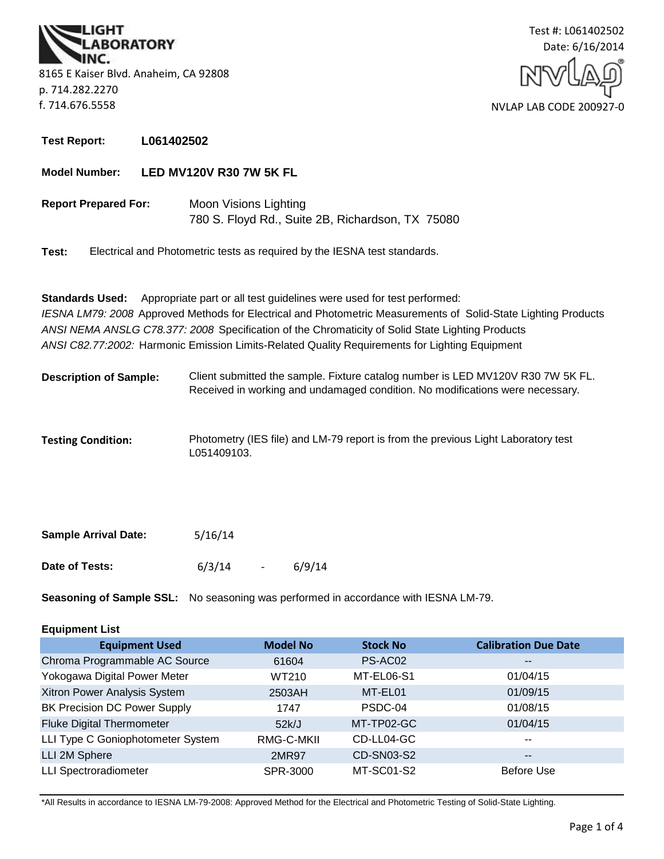**BORATORY** 8165 E Kaiser Blvd. Anaheim, CA 92808 p. 714.282.2270 f. 714.676.5558



**Test Report: L061402502**

#### **Model Number: LED MV120V R30 7W 5K FL**

**Report Prepared For:** Moon Visions Lighting 780 S. Floyd Rd., Suite 2B, Richardson, TX 75080

**Test:** Electrical and Photometric tests as required by the IESNA test standards.

*ANSI C82.77:2002:* Harmonic Emission Limits-Related Quality Requirements for Lighting Equipment **Standards Used:** Appropriate part or all test guidelines were used for test performed: *IESNA LM79: 2008* Approved Methods for Electrical and Photometric Measurements of Solid-State Lighting Products *ANSI NEMA ANSLG C78.377: 2008* Specification of the Chromaticity of Solid State Lighting Products

- Client submitted the sample. Fixture catalog number is LED MV120V R30 7W 5K FL. Received in working and undamaged condition. No modifications were necessary. **Description of Sample:**
- **Testing Condition:** Photometry (IES file) and LM-79 report is from the previous Light Laboratory test L051409103.

| <b>Sample Arrival Date:</b> | 5/16/14 |                |        |
|-----------------------------|---------|----------------|--------|
| Date of Tests:              | 6/3/14  | $\overline{a}$ | 6/9/14 |

**Seasoning of Sample SSL:** No seasoning was performed in accordance with IESNA LM-79.

# **Equipment List**

| <b>Equipment Used</b>               | <b>Model No</b> | <b>Stock No</b>   | <b>Calibration Due Date</b> |
|-------------------------------------|-----------------|-------------------|-----------------------------|
| Chroma Programmable AC Source       | 61604           | PS-AC02           | $\overline{\phantom{m}}$    |
| Yokogawa Digital Power Meter        | WT210           | MT-EL06-S1        | 01/04/15                    |
| Xitron Power Analysis System        | 2503AH          | MT-EL01           | 01/09/15                    |
| <b>BK Precision DC Power Supply</b> | 1747            | PSDC-04           | 01/08/15                    |
| <b>Fluke Digital Thermometer</b>    | 52k/J           | MT-TP02-GC        | 01/04/15                    |
| LLI Type C Goniophotometer System   | RMG-C-MKII      | CD-LL04-GC        | $\overline{\phantom{a}}$    |
| LLI 2M Sphere                       | 2MR97           | <b>CD-SN03-S2</b> | $\overline{\phantom{m}}$    |
| <b>LLI Spectroradiometer</b>        | SPR-3000        | MT-SC01-S2        | Before Use                  |

\*All Results in accordance to IESNA LM-79-2008: Approved Method for the Electrical and Photometric Testing of Solid-State Lighting.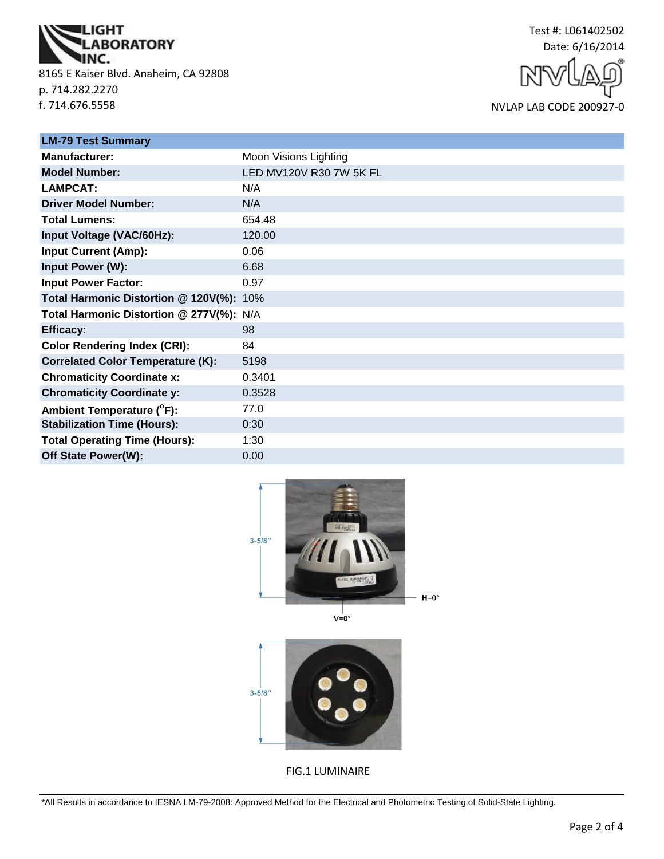

8165 E Kaiser Blvd. Anaheim, CA 92808 p. 714.282.2270 f. 714.676.5558

Test #: L061402502 Date: 6/16/2014

NVLAP LAB CODE 200927-0

| <b>LM-79 Test Summary</b>                |                         |
|------------------------------------------|-------------------------|
| Manufacturer:                            | Moon Visions Lighting   |
| <b>Model Number:</b>                     | LED MV120V R30 7W 5K FL |
| <b>LAMPCAT:</b>                          | N/A                     |
| <b>Driver Model Number:</b>              | N/A                     |
| <b>Total Lumens:</b>                     | 654.48                  |
| Input Voltage (VAC/60Hz):                | 120.00                  |
| <b>Input Current (Amp):</b>              | 0.06                    |
| Input Power (W):                         | 6.68                    |
| <b>Input Power Factor:</b>               | 0.97                    |
| Total Harmonic Distortion @ 120V(%): 10% |                         |
| Total Harmonic Distortion @ 277V(%): N/A |                         |
| <b>Efficacy:</b>                         | 98                      |
| <b>Color Rendering Index (CRI):</b>      | 84                      |
| <b>Correlated Color Temperature (K):</b> | 5198                    |
| <b>Chromaticity Coordinate x:</b>        | 0.3401                  |
| <b>Chromaticity Coordinate y:</b>        | 0.3528                  |
| Ambient Temperature (°F):                | 77.0                    |
| <b>Stabilization Time (Hours):</b>       | 0:30                    |
| <b>Total Operating Time (Hours):</b>     | 1:30                    |
| Off State Power(W):                      | 0.00                    |



 $3 - 5/8"$ 

FIG.1 LUMINAIRE

\*All Results in accordance to IESNA LM-79-2008: Approved Method for the Electrical and Photometric Testing of Solid-State Lighting.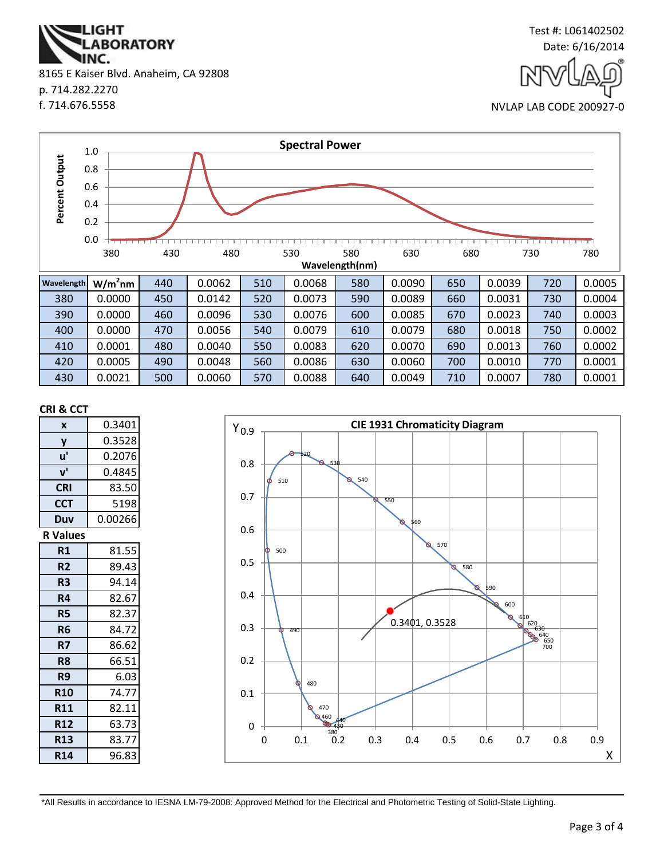**ABORATORY** IINC. 8165 E Kaiser Blvd. Anaheim, CA 92808 p. 714.282.2270 f. 714.676.5558

**IGHT** 



NVLAP LAB CODE 200927-0



#### **CRI & CCT**

| X               | 0.3401  |
|-----------------|---------|
| y               | 0.3528  |
| u'              | 0.2076  |
| ${\bf v}'$      | 0.4845  |
| <b>CRI</b>      | 83.50   |
| <b>CCT</b>      | 5198    |
| Duv             | 0.00266 |
| <b>R</b> Values |         |
| R1              | 81.55   |
| R <sub>2</sub>  | 89.43   |
| R3              | 94.14   |
| R4              | 82.67   |
| <b>R5</b>       | 82.37   |
| R <sub>6</sub>  | 84.72   |
| R7              | 86.62   |
| R8              | 66.51   |
| R9              | 6.03    |
| <b>R10</b>      | 74.77   |
| <b>R11</b>      | 82.11   |
| <b>R12</b>      | 63.73   |
| <b>R13</b>      | 83.77   |
| <b>R14</b>      | 96.83   |



\*All Results in accordance to IESNA LM-79-2008: Approved Method for the Electrical and Photometric Testing of Solid-State Lighting.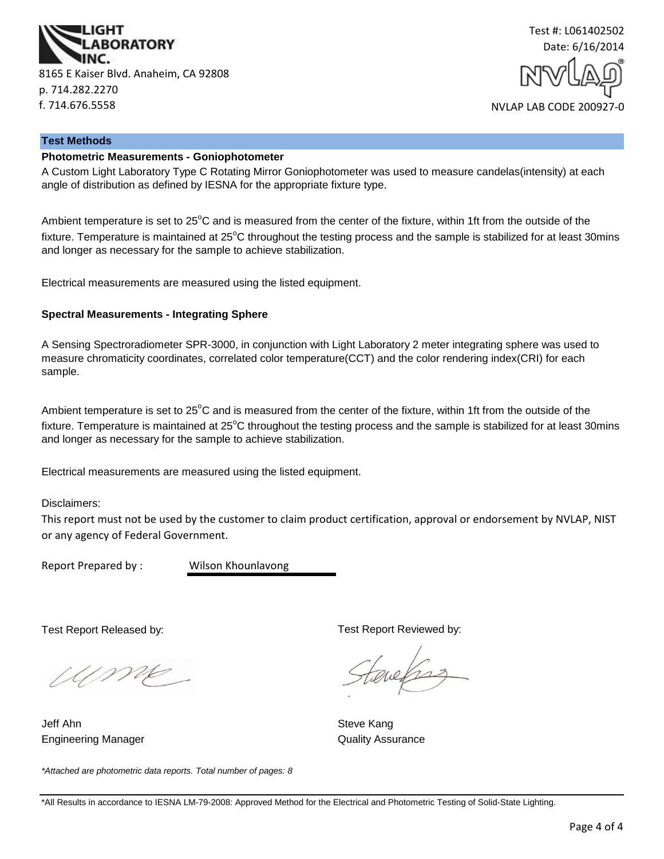



#### **Test Methods**

# **Photometric Measurements - Goniophotometer**

A Custom Light Laboratory Type C Rotating Mirror Goniophotometer was used to measure candelas(intensity) at each angle of distribution as defined by IESNA for the appropriate fixture type.

Ambient temperature is set to  $25^{\circ}$ C and is measured from the center of the fixture, within 1ft from the outside of the fixture. Temperature is maintained at  $25^{\circ}$ C throughout the testing process and the sample is stabilized for at least 30mins and longer as necessary for the sample to achieve stabilization.

Electrical measurements are measured using the listed equipment.

#### **Spectral Measurements - Integrating Sphere**

A Sensing Spectroradiometer SPR-3000, in conjunction with Light Laboratory 2 meter integrating sphere was used to measure chromaticity coordinates, correlated color temperature(CCT) and the color rendering index(CRI) for each sample.

Ambient temperature is set to  $25^{\circ}$ C and is measured from the center of the fixture, within 1ft from the outside of the fixture. Temperature is maintained at  $25^{\circ}$ C throughout the testing process and the sample is stabilized for at least 30mins and longer as necessary for the sample to achieve stabilization.

Electrical measurements are measured using the listed equipment.

Disclaimers:

This report must not be used by the customer to claim product certification, approval or endorsement by NVLAP, NIST or any agency of Federal Government.

Report Prepared by : Wilson Khounlavong

Test Report Released by:

UME

Jeff Ahn Steve Kang Engineering Manager **Contract Contract Contract Contract Contract Contract Contract Contract Contract Contract Contract Contract Contract Contract Contract Contract Contract Contract Contract Contract Contract Contract Con** 

*\*Attached are photometric data reports. Total number of pages: 8*

Test Report Reviewed by:

evels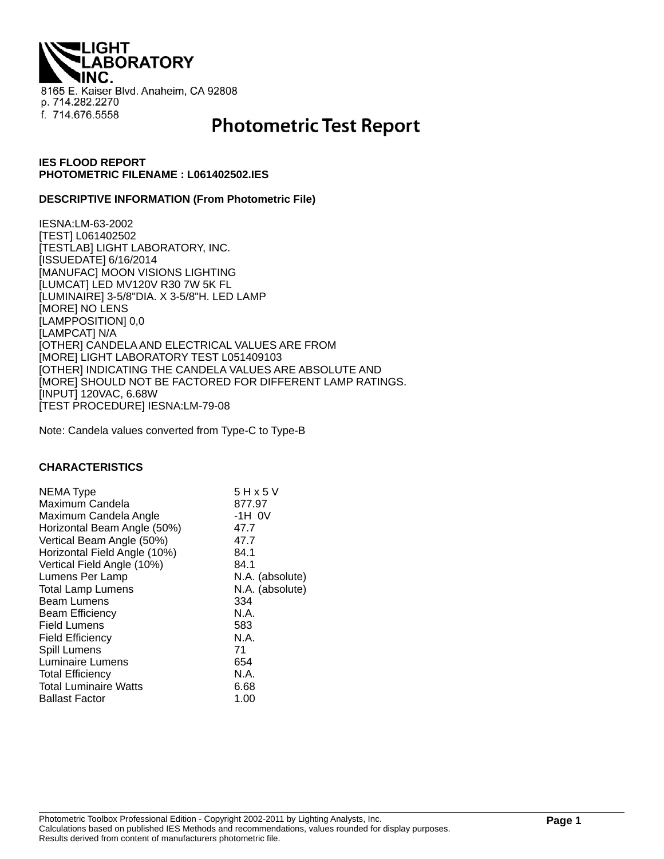**THQI. ABORATORY** 8165 E. Kaiser Blvd. Anaheim, CA 92808 p. 714.282.2270 f. 714.676.5558

# **Photometric Test Report**

# **IES FLOOD REPORT PHOTOMETRIC FILENAME : L061402502.IES**

#### **DESCRIPTIVE INFORMATION (From Photometric File)**

IESNA:LM-63-2002 [TEST] L061402502 [TESTLAB] LIGHT LABORATORY, INC. [ISSUEDATE] 6/16/2014 [MANUFAC] MOON VISIONS LIGHTING [LUMCAT] LED MV120V R30 7W 5K FL [LUMINAIRE] 3-5/8"DIA. X 3-5/8"H. LED LAMP [MORE] NO LENS [LAMPPOSITION] 0,0 [LAMPCAT] N/A [OTHER] CANDELA AND ELECTRICAL VALUES ARE FROM [MORE] LIGHT LABORATORY TEST L051409103 [OTHER] INDICATING THE CANDELA VALUES ARE ABSOLUTE AND [MORE] SHOULD NOT BE FACTORED FOR DIFFERENT LAMP RATINGS. [INPUT] 120VAC, 6.68W [TEST PROCEDURE] IESNA:LM-79-08

Note: Candela values converted from Type-C to Type-B

#### **CHARACTERISTICS**

| NEMA Type                    | 5 H x 5 V       |
|------------------------------|-----------------|
| Maximum Candela              | 877.97          |
| Maximum Candela Angle        | $-1H$ OV        |
| Horizontal Beam Angle (50%)  | 47.7            |
| Vertical Beam Angle (50%)    | 47.7            |
| Horizontal Field Angle (10%) | 84.1            |
| Vertical Field Angle (10%)   | 84.1            |
| Lumens Per Lamp              | N.A. (absolute) |
| <b>Total Lamp Lumens</b>     | N.A. (absolute) |
|                              |                 |
| <b>Beam Lumens</b>           | 334             |
| <b>Beam Efficiency</b>       | N.A.            |
| <b>Field Lumens</b>          | 583             |
| <b>Field Efficiency</b>      | N.A.            |
| Spill Lumens                 | 71              |
| Luminaire Lumens             | 654             |
| <b>Total Efficiency</b>      | N.A.            |
| <b>Total Luminaire Watts</b> | 6.68            |
| <b>Ballast Factor</b>        | 1.00            |
|                              |                 |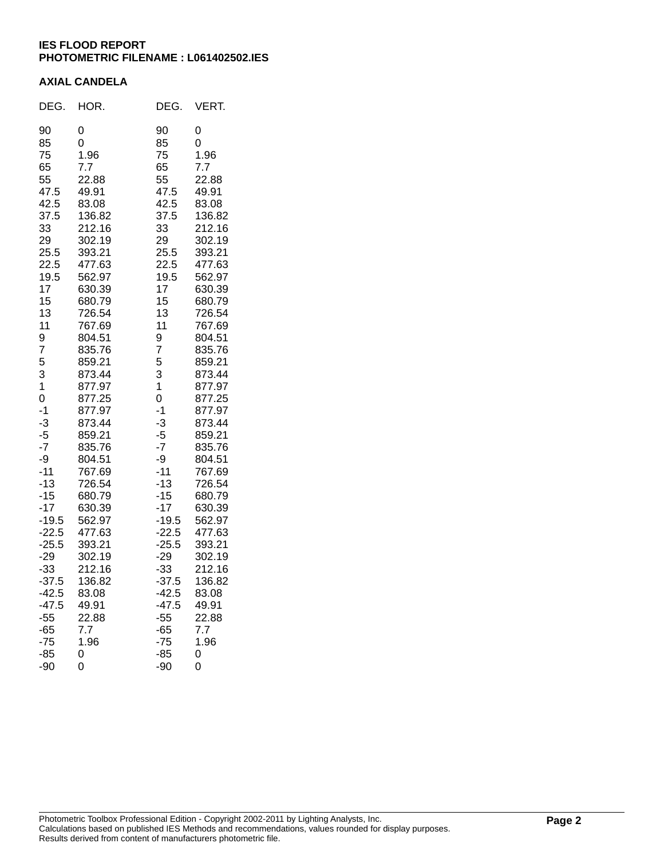# **IES FLOOD REPORT PHOTOMETRIC FILENAME : L061402502.IES**

## **AXIAL CANDELA**

| DEG.    | HOR.   | DEG.    | VERT.  |
|---------|--------|---------|--------|
| 90      | 0      | 90      | 0      |
| 85      | 0      | 85      | 0      |
| 75      | 1.96   | 75      | 1.96   |
| 65      | 7.7    | 65      | 7.7    |
| 55      | 22.88  | 55      | 22.88  |
| 47.5    | 49.91  | 47.5    | 49.91  |
| 42.5    | 83.08  | 42.5    | 83.08  |
| 37.5    | 136.82 | 37.5    | 136.82 |
| 33      | 212.16 | 33      | 212.16 |
| 29      | 302.19 | 29      | 302.19 |
| 25.5    | 393.21 | 25.5    | 393.21 |
| 22.5    | 477.63 | 22.5    | 477.63 |
| 19.5    | 562.97 | 19.5    | 562.97 |
| 17      | 630.39 | 17      | 630.39 |
| 15      | 680.79 | 15      | 680.79 |
| 13      | 726.54 | 13      | 726.54 |
| 11      | 767.69 | 11      | 767.69 |
| 9       | 804.51 | 9       | 804.51 |
| 7       | 835.76 | 7       | 835.76 |
| 5       | 859.21 | 5       | 859.21 |
| 3       | 873.44 | 3       | 873.44 |
| 1       | 877.97 | 1       | 877.97 |
| 0       | 877.25 | 0       | 877.25 |
| $-1$    | 877.97 | $-1$    | 877.97 |
| $-3$    | 873.44 | $-3$    | 873.44 |
| $-5$    | 859.21 | $-5$    | 859.21 |
| $-7$    | 835.76 | $-7$    | 835.76 |
| -9      | 804.51 | -9      | 804.51 |
| $-11$   | 767.69 | $-11$   | 767.69 |
| $-13$   | 726.54 | $-13$   | 726.54 |
| $-15$   | 680.79 | $-15$   | 680.79 |
| $-17$   | 630.39 | $-17$   | 630.39 |
| $-19.5$ | 562.97 | $-19.5$ | 562.97 |
| $-22.5$ | 477.63 | $-22.5$ | 477.63 |
| $-25.5$ | 393.21 | $-25.5$ | 393.21 |
| $-29$   | 302.19 | $-29$   | 302.19 |
| $-33$   | 212.16 | $-33$   | 212.16 |
| $-37.5$ | 136.82 | $-37.5$ | 136.82 |
| $-42.5$ | 83.08  | $-42.5$ | 83.08  |
| $-47.5$ | 49.91  | $-47.5$ | 49.91  |
| $-55$   | 22.88  | $-55$   | 22.88  |
| $-65$   | 7.7    | $-65$   | 7.7    |
| $-75$   | 1.96   | $-75$   | 1.96   |
| $-85$   | 0      | -85     | 0      |
| $-90$   | 0      | -90     | 0      |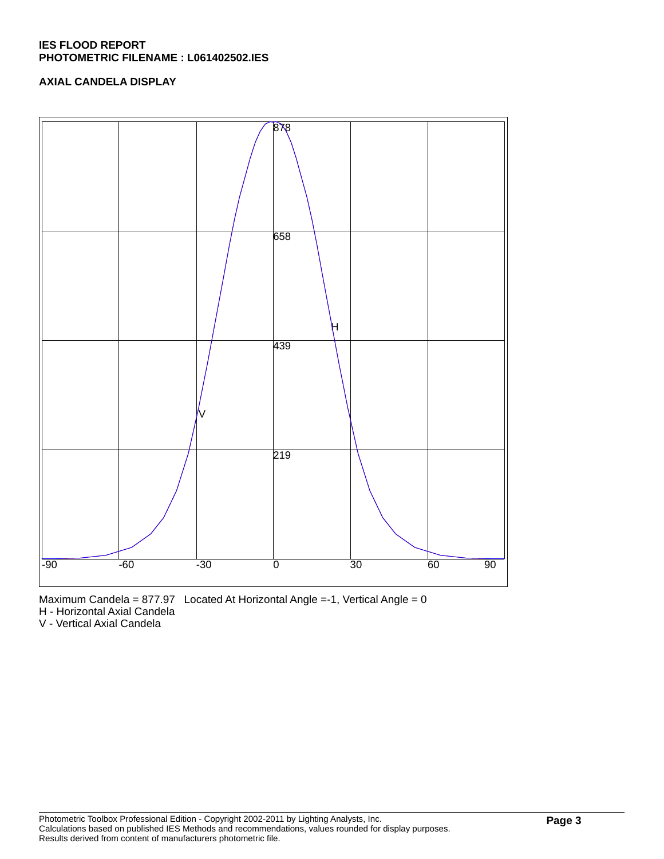# **IES FLOOD REPORT PHOTOMETRIC FILENAME : L061402502.IES**

# **AXIAL CANDELA DISPLAY**



Maximum Candela = 877.97 Located At Horizontal Angle =-1, Vertical Angle = 0

H - Horizontal Axial Candela

V - Vertical Axial Candela